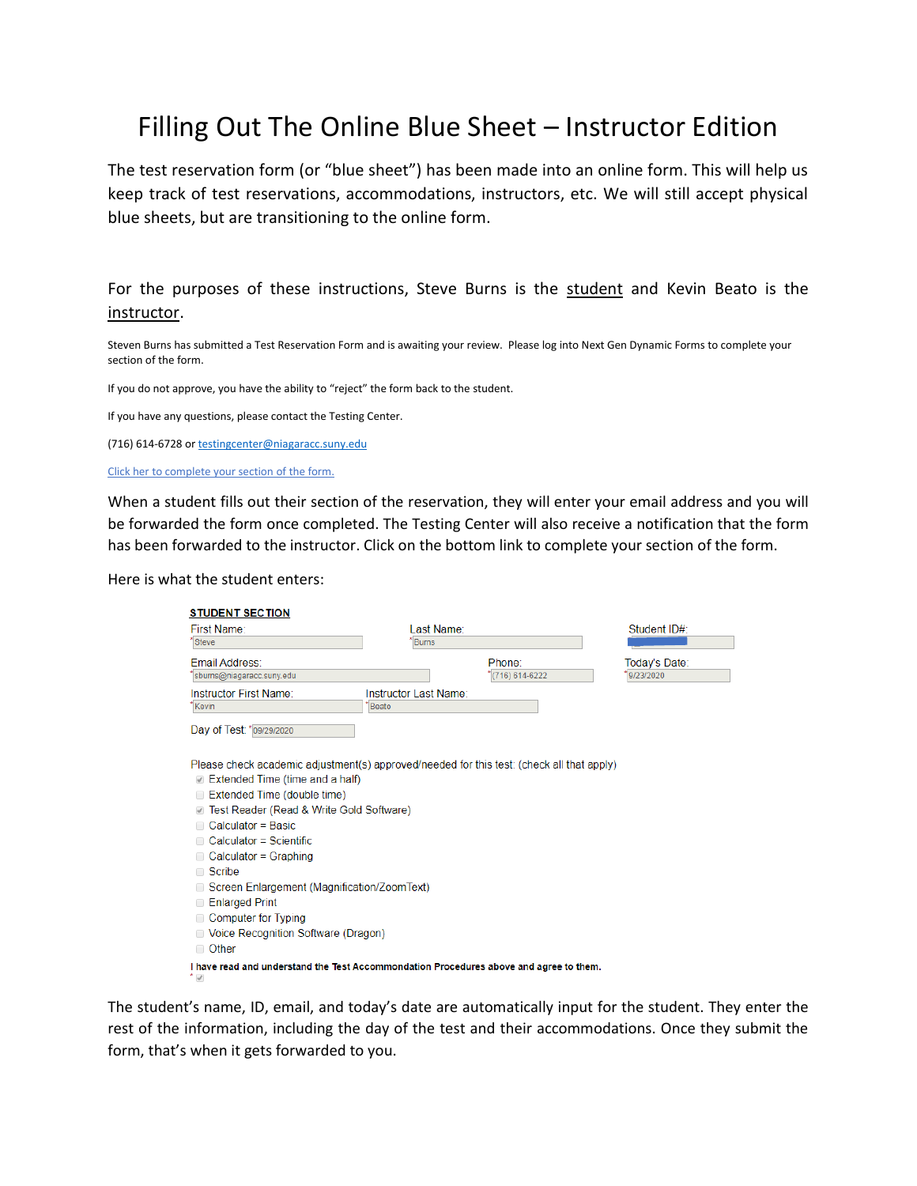## Filling Out The Online Blue Sheet – Instructor Edition

The test reservation form (or "blue sheet") has been made into an online form. This will help us keep track of test reservations, accommodations, instructors, etc. We will still accept physical blue sheets, but are transitioning to the online form.

For the purposes of these instructions, Steve Burns is the student and Kevin Beato is the instructor.

Steven Burns has submitted a Test Reservation Form and is awaiting your review. Please log into Next Gen Dynamic Forms to complete your section of the form.

If you do not approve, you have the ability to "reject" the form back to the student.

If you have any questions, please contact the Testing Center.

(716) 614-6728 o[r testingcenter@niagaracc.suny.edu](mailto:testingcenter@niagaracc.suny.edu)

Click her to complete your section of the form.

When a student fills out their section of the reservation, they will enter your email address and you will be forwarded the form once completed. The Testing Center will also receive a notification that the form has been forwarded to the instructor. Click on the bottom link to complete your section of the form.

Here is what the student enters:

| <b>STUDENT SECTION</b>                                                                                             |                                |                  |               |
|--------------------------------------------------------------------------------------------------------------------|--------------------------------|------------------|---------------|
| First Name:<br>Steve                                                                                               | Last Name:<br><b>Burns</b>     |                  | Student ID#:  |
|                                                                                                                    |                                |                  |               |
| <b>Email Address:</b>                                                                                              |                                | Phone:           | Today's Date: |
| sburns@niagaracc.suny.edu                                                                                          |                                | $(716)$ 614-6222 | 9/23/2020     |
| Instructor First Name:<br>Kevin                                                                                    | Instructor Last Name:<br>Beato |                  |               |
|                                                                                                                    |                                |                  |               |
| Day of Test: * 09/29/2020                                                                                          |                                |                  |               |
|                                                                                                                    |                                |                  |               |
| Please check academic adjustment(s) approved/needed for this test: (check all that apply)                          |                                |                  |               |
| Extended Time (time and a half)                                                                                    |                                |                  |               |
| Extended Time (double time)<br>□                                                                                   |                                |                  |               |
| Test Reader (Read & Write Gold Software)                                                                           |                                |                  |               |
| Calculator = Basic                                                                                                 |                                |                  |               |
| Calculator = Scientific                                                                                            |                                |                  |               |
| Calculator = Graphing<br>n                                                                                         |                                |                  |               |
| □ Scribe                                                                                                           |                                |                  |               |
| Screen Enlargement (Magnification/ZoomText)                                                                        |                                |                  |               |
| <b>Enlarged Print</b><br>□                                                                                         |                                |                  |               |
| <b>Computer for Typing</b><br>□                                                                                    |                                |                  |               |
| □ Voice Recognition Software (Dragon)                                                                              |                                |                  |               |
| □ Other                                                                                                            |                                |                  |               |
| I have read and understand the Test Accommondation Procedures above and agree to them.<br>$^{\star}$ $\mathcal{A}$ |                                |                  |               |

The student's name, ID, email, and today's date are automatically input for the student. They enter the rest of the information, including the day of the test and their accommodations. Once they submit the form, that's when it gets forwarded to you.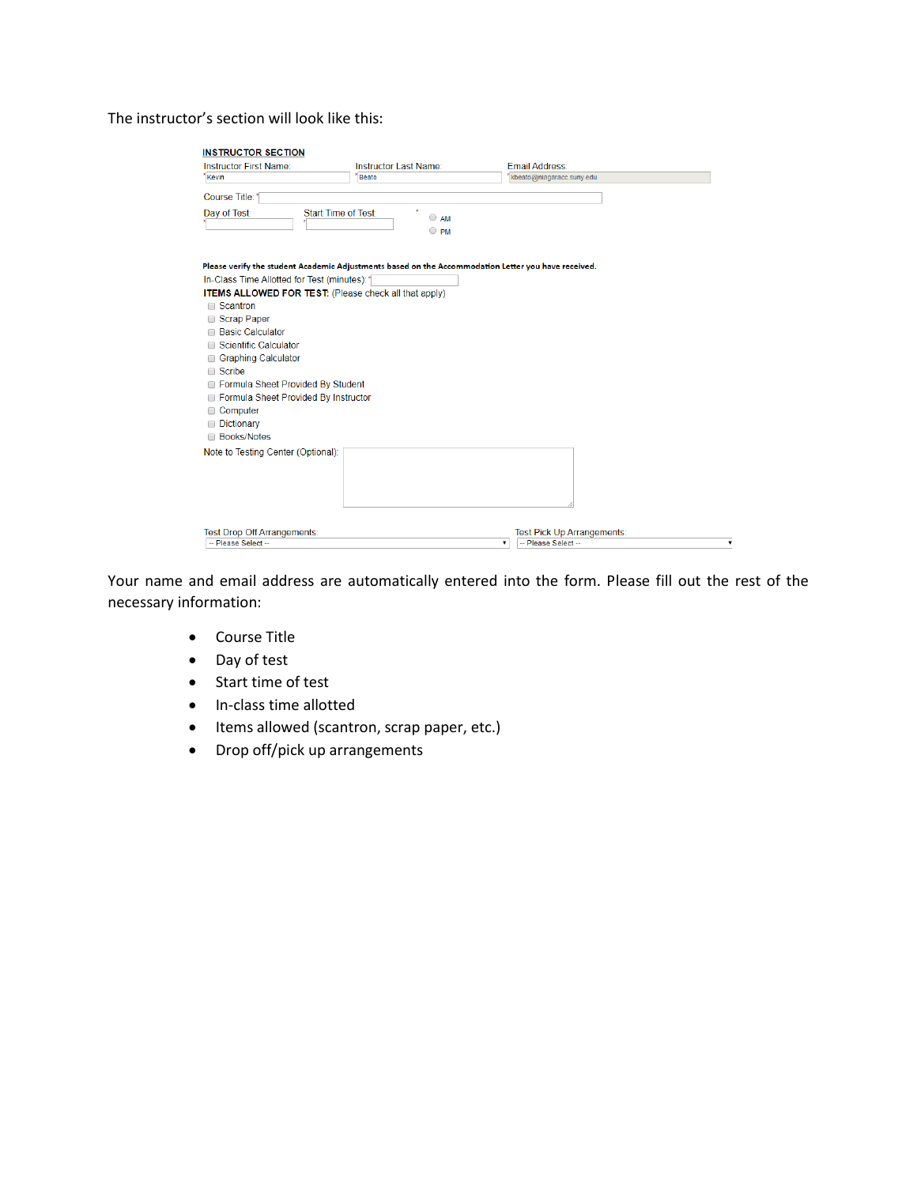## The instructor's section will look like this:

| <b>Instructor First Name:</b>                                                                                                                                      | Instructor Last Name:                                                                                                                                               | Email Address:                                 |  |
|--------------------------------------------------------------------------------------------------------------------------------------------------------------------|---------------------------------------------------------------------------------------------------------------------------------------------------------------------|------------------------------------------------|--|
| Kevin                                                                                                                                                              | <b>Beato</b>                                                                                                                                                        | kbeato@niagaracc.suny.edu                      |  |
| Course Title:                                                                                                                                                      |                                                                                                                                                                     |                                                |  |
| Day of Test:                                                                                                                                                       | Start Time of Test:<br>$\bigcirc$ AM                                                                                                                                |                                                |  |
|                                                                                                                                                                    | $\circ$ PM                                                                                                                                                          |                                                |  |
| In-Class Time Allotted for Test (minutes): 1<br>□ Scantron<br>Scrap Paper<br><b>Basic Calculator</b><br><b>Scientific Calculator</b><br><b>Graphing Calculator</b> | Please verify the student Academic Adjustments based on the Accommodation Letter you have received.<br><b>ITEMS ALLOWED FOR TEST: (Please check all that apply)</b> |                                                |  |
| $\Box$ Scribe                                                                                                                                                      |                                                                                                                                                                     |                                                |  |
| Formula Sheet Provided By Student                                                                                                                                  |                                                                                                                                                                     |                                                |  |
| Formula Sheet Provided By Instructor                                                                                                                               |                                                                                                                                                                     |                                                |  |
| Computer<br>Dictionary                                                                                                                                             |                                                                                                                                                                     |                                                |  |
| <b>Books/Notes</b>                                                                                                                                                 |                                                                                                                                                                     |                                                |  |
| Note to Testing Center (Optional):                                                                                                                                 |                                                                                                                                                                     |                                                |  |
| Test Drop Off Arrangements:                                                                                                                                        |                                                                                                                                                                     | <b>Test Pick Up Arrangements:</b>              |  |
| -- Please Select --                                                                                                                                                |                                                                                                                                                                     | -- Please Select --<br>$\overline{\mathbf{v}}$ |  |

Your name and email address are automatically entered into the form. Please fill out the rest of the necessary information:

- Course Title
- Day of test
- Start time of test
- In-class time allotted
- Items allowed (scantron, scrap paper, etc.)
- Drop off/pick up arrangements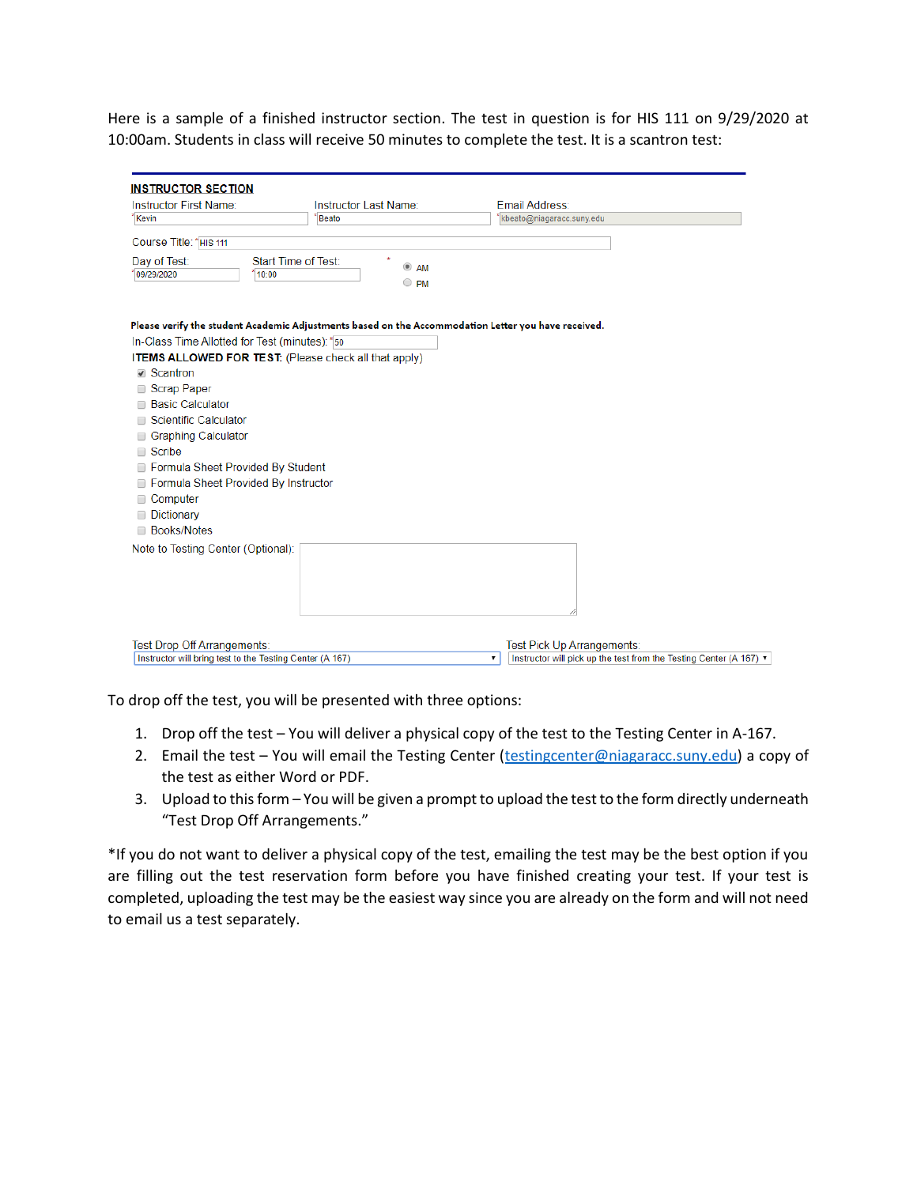Here is a sample of a finished instructor section. The test in question is for HIS 111 on 9/29/2020 at 10:00am. Students in class will receive 50 minutes to complete the test. It is a scantron test:

| Instructor First Name:                                   | Instructor Last Name:                                                                               | Email Address:                                                                        |  |
|----------------------------------------------------------|-----------------------------------------------------------------------------------------------------|---------------------------------------------------------------------------------------|--|
| *Kevin                                                   | Beato                                                                                               | kbeato@niagaracc.suny.edu                                                             |  |
| Course Title: * HIS 111                                  |                                                                                                     |                                                                                       |  |
| Day of Test:                                             | Start Time of Test:<br>$^{\circ}$<br>AM                                                             |                                                                                       |  |
| 09/29/2020<br>10:00                                      | $\circ$ PM                                                                                          |                                                                                       |  |
| In-Class Time Allotted for Test (minutes): * 50          | Please verify the student Academic Adjustments based on the Accommodation Letter you have received. |                                                                                       |  |
|                                                          | <b>ITEMS ALLOWED FOR TEST:</b> (Please check all that apply)                                        |                                                                                       |  |
| <b>■</b> Scantron                                        |                                                                                                     |                                                                                       |  |
| □ Scrap Paper                                            |                                                                                                     |                                                                                       |  |
| <b>Basic Calculator</b>                                  |                                                                                                     |                                                                                       |  |
| <b>Scientific Calculator</b>                             |                                                                                                     |                                                                                       |  |
| <b>Graphing Calculator</b>                               |                                                                                                     |                                                                                       |  |
| Scribe<br>∩                                              |                                                                                                     |                                                                                       |  |
| Formula Sheet Provided By Student                        |                                                                                                     |                                                                                       |  |
| Formula Sheet Provided By Instructor                     |                                                                                                     |                                                                                       |  |
| Computer                                                 |                                                                                                     |                                                                                       |  |
| Dictionary                                               |                                                                                                     |                                                                                       |  |
| <b>Books/Notes</b><br>□                                  |                                                                                                     |                                                                                       |  |
| Note to Testing Center (Optional):                       |                                                                                                     |                                                                                       |  |
|                                                          |                                                                                                     |                                                                                       |  |
|                                                          |                                                                                                     |                                                                                       |  |
|                                                          |                                                                                                     |                                                                                       |  |
|                                                          |                                                                                                     |                                                                                       |  |
|                                                          |                                                                                                     |                                                                                       |  |
| Test Drop Off Arrangements:                              |                                                                                                     | Test Pick Up Arrangements:                                                            |  |
| Instructor will bring test to the Testing Center (A 167) |                                                                                                     | Instructor will pick up the test from the Testing Center (A 167) $\blacktriangledown$ |  |

To drop off the test, you will be presented with three options:

- 1. Drop off the test You will deliver a physical copy of the test to the Testing Center in A-167.
- 2. Email the test You will email the Testing Center [\(testingcenter@niagaracc.suny.edu\)](mailto:testingcenter@niagaracc.suny.edu) a copy of the test as either Word or PDF.
- 3. Upload to this form You will be given a prompt to upload the test to the form directly underneath "Test Drop Off Arrangements."

\*If you do not want to deliver a physical copy of the test, emailing the test may be the best option if you are filling out the test reservation form before you have finished creating your test. If your test is completed, uploading the test may be the easiest way since you are already on the form and will not need to email us a test separately.